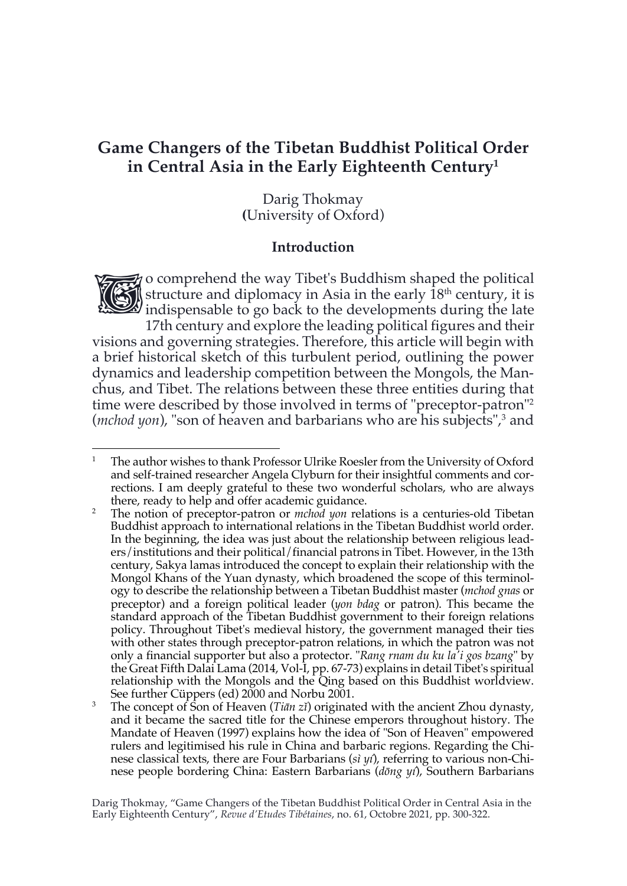# **Game Changers of the Tibetan Buddhist Political Order in Central Asia in the Early Eighteenth Century1**

Darig Thokmay **(**University of Oxford)

### **Introduction**

o comprehend the way Tibet's Buddhism shaped the political structure and diplomacy in Asia in the early 18<sup>th</sup> century, it is indispensable to go back to the developments during the late structure and diplomacy in Asia in the early  $18<sup>th</sup>$  century, it is  $\mathcal{L}$  indispensable to go back to the developments during the late 17th century and explore the leading political figures and their

visions and governing strategies. Therefore, this article will begin with a brief historical sketch of this turbulent period, outlining the power dynamics and leadership competition between the Mongols, the Manchus, and Tibet. The relations between these three entities during that time were described by those involved in terms of "preceptor-patron"2 (*mchod yon*), "son of heaven and barbarians who are his subjects",<sup>3</sup> and

<sup>&</sup>lt;sup>1</sup> The author wishes to thank Professor Ulrike Roesler from the University of Oxford and self-trained researcher Angela Clyburn for their insightful comments and corrections. I am deeply grateful to these two wonderful scholars, who are always there, ready to help and offer academic guidance.

<sup>2</sup> The notion of preceptor-patron or *mchod yon* relations is a centuries-old Tibetan Buddhist approach to international relations in the Tibetan Buddhist world order. In the beginning, the idea was just about the relationship between religious leaders/institutions and their political/financial patrons in Tibet. However, in the 13th century, Sakya lamas introduced the concept to explain their relationship with the Mongol Khans of the Yuan dynasty, which broadened the scope of this terminology to describe the relationship between a Tibetan Buddhist master (*mchod gnas* or preceptor) and a foreign political leader (*yon bdag* or patron). This became the standard approach of the Tibetan Buddhist government to their foreign relations policy. Throughout Tibet's medieval history, the government managed their ties with other states through preceptor-patron relations, in which the patron was not only a financial supporter but also a protector. "*Rang rnam du ku la'i gos bzang*" by the Great Fifth Dalai Lama (2014, Vol-I, pp. 67-73) explains in detail Tibet's spiritual relationship with the Mongols and the Qing based on this Buddhist worldview. See further Cüppers (ed) 2000 and Norbu 2001.

<sup>3</sup> The concept of Son of Heaven (*Tiān zǐ*) originated with the ancient Zhou dynasty, and it became the sacred title for the Chinese emperors throughout history. The Mandate of Heaven (1997) explains how the idea of "Son of Heaven" empowered rulers and legitimised his rule in China and barbaric regions. Regarding the Chinese classical texts, there are Four Barbarians (*sì yí*), referring to various non-Chinese people bordering China: Eastern Barbarians (*dōng yí*), Southern Barbarians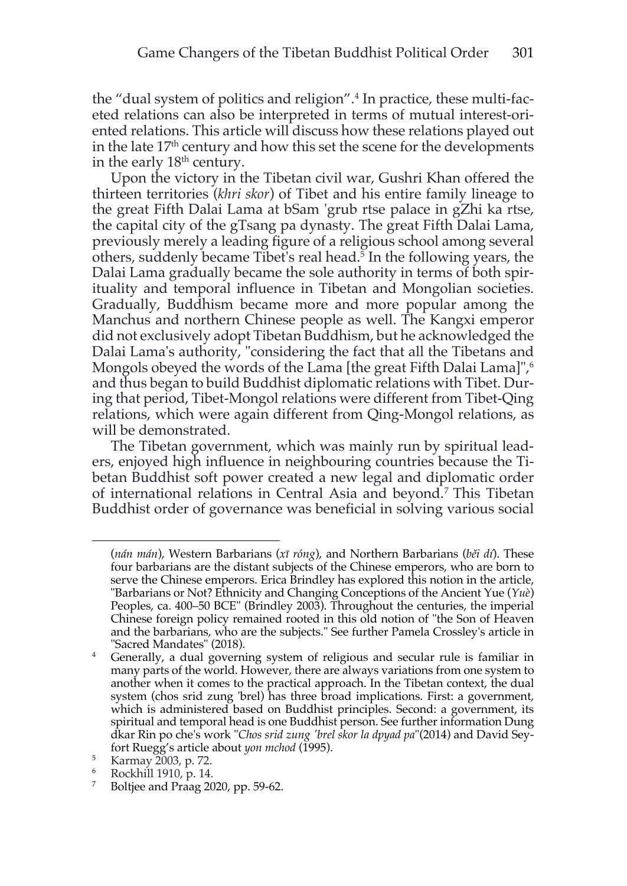the "dual system of politics and religion".<sup>4</sup> In practice, these multi-faceted relations can also be interpreted in terms of mutual interest-oriented relations. This article will discuss how these relations played out in the late 17<sup>th</sup> century and how this set the scene for the developments in the early  $18<sup>th</sup>$  century.

Upon the victory in the Tibetan civil war, Gushri Khan offered the thirteen territories (*khri skor*) of Tibet and his entire family lineage to the great Fifth Dalai Lama at bSam 'grub rtse palace in gZhi ka rtse, the capital city of the gTsang pa dynasty. The great Fifth Dalai Lama, previously merely a leading figure of a religious school among several others, suddenly became Tibet's real head.<sup>5</sup> In the following years, the Dalai Lama gradually became the sole authority in terms of both spirituality and temporal influence in Tibetan and Mongolian societies. Gradually, Buddhism became more and more popular among the Manchus and northern Chinese people as well. The Kangxi emperor did not exclusively adopt Tibetan Buddhism, but he acknowledged the Dalai Lama's authority, "considering the fact that all the Tibetans and Mongols obeyed the words of the Lama [the great Fifth Dalai Lama]",<sup>6</sup> and thus began to build Buddhist diplomatic relations with Tibet. During that period, Tibet-Mongol relations were different from Tibet-Qing relations, which were again different from Qing-Mongol relations, as will be demonstrated.

The Tibetan government, which was mainly run by spiritual leaders, enjoyed high influence in neighbouring countries because the Tibetan Buddhist soft power created a new legal and diplomatic order of international relations in Central Asia and beyond.7 This Tibetan Buddhist order of governance was beneficial in solving various social

<sup>(</sup>*nán mán*), Western Barbarians (*xī róng*), and Northern Barbarians (*běi dí*). These four barbarians are the distant subjects of the Chinese emperors, who are born to serve the Chinese emperors. Erica Brindley has explored this notion in the article, "Barbarians or Not? Ethnicity and Changing Conceptions of the Ancient Yue (*Yuè*) Peoples, ca. 400–50 BCE" (Brindley 2003). Throughout the centuries, the imperial Chinese foreign policy remained rooted in this old notion of "the Son of Heaven and the barbarians, who are the subjects." See further Pamela Crossley's article in "Sacred Mandates" (2018).

<sup>&</sup>lt;sup>4</sup> Generally, a dual governing system of religious and secular rule is familiar in many parts of the world. However, there are always variations from one system to another when it comes to the practical approach. In the Tibetan context, the dual system (chos srid zung 'brel) has three broad implications. First: a government, which is administered based on Buddhist principles. Second: a government, its spiritual and temporal head is one Buddhist person. See further information Dung dkar Rin po che's work "*Chos srid zung 'brel skor la dpyad pa*"(2014) and David Seyfort Ruegg's article about *yon mchod* (1995).

<sup>5</sup> Karmay 2003, p. 72.

<sup>6</sup> Rockhill 1910, p. 14.

<sup>&</sup>lt;sup>7</sup> Boltjee and Praag 2020, pp. 59-62.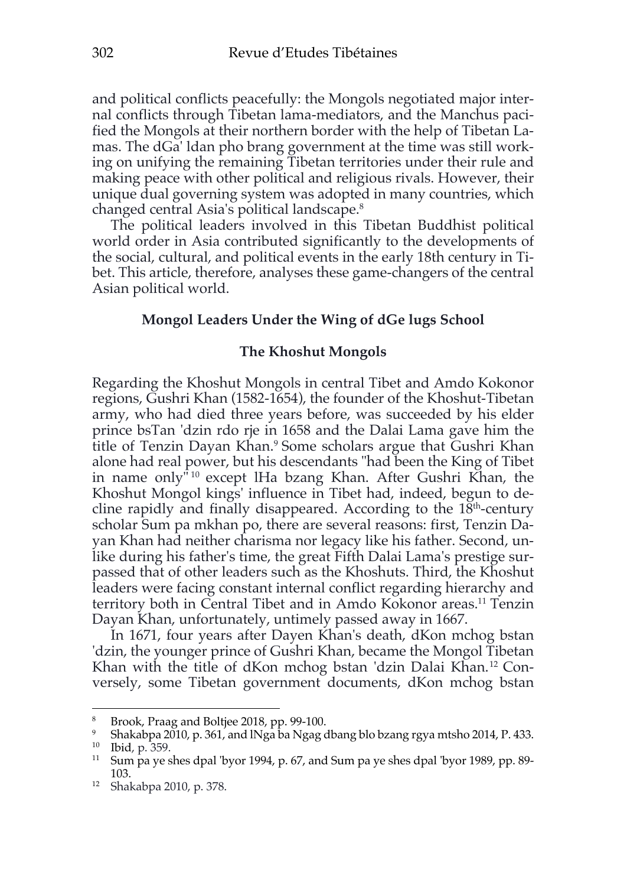and political conflicts peacefully: the Mongols negotiated major internal conflicts through Tibetan lama-mediators, and the Manchus pacified the Mongols at their northern border with the help of Tibetan Lamas. The dGa' ldan pho brang government at the time was still working on unifying the remaining Tibetan territories under their rule and making peace with other political and religious rivals. However, their unique dual governing system was adopted in many countries, which changed central Asia's political landscape.8

The political leaders involved in this Tibetan Buddhist political world order in Asia contributed significantly to the developments of the social, cultural, and political events in the early 18th century in Tibet. This article, therefore, analyses these game-changers of the central Asian political world.

### **Mongol Leaders Under the Wing of dGe lugs School**

#### **The Khoshut Mongols**

Regarding the Khoshut Mongols in central Tibet and Amdo Kokonor regions, Gushri Khan (1582-1654), the founder of the Khoshut-Tibetan army, who had died three years before, was succeeded by his elder prince bsTan 'dzin rdo rje in 1658 and the Dalai Lama gave him the title of Tenzin Dayan Khan. <sup>9</sup> Some scholars argue that Gushri Khan alone had real power, but his descendants "had been the King of Tibet in name only<sup>"10</sup> except lHa bzang Khan. After Gushri Khan, the Khoshut Mongol kings' influence in Tibet had, indeed, begun to decline rapidly and finally disappeared. According to the  $18<sup>th</sup>$ -century scholar Sum pa mkhan po, there are several reasons: first, Tenzin Dayan Khan had neither charisma nor legacy like his father. Second, unlike during his father's time, the great Fifth Dalai Lama's prestige surpassed that of other leaders such as the Khoshuts. Third, the Khoshut leaders were facing constant internal conflict regarding hierarchy and territory both in Central Tibet and in Amdo Kokonor areas.<sup>11</sup> Tenzin Dayan Khan, unfortunately, untimely passed away in 1667.

In 1671, four years after Dayen Khan's death, dKon mchog bstan 'dzin, the younger prince of Gushri Khan, became the Mongol Tibetan Khan with the title of dKon mchog bstan 'dzin Dalai Khan. <sup>12</sup> Conversely, some Tibetan government documents, dKon mchog bstan

<sup>8</sup> Brook, Praag and Boltjee 2018, pp. 99-100.

<sup>&</sup>lt;sup>9</sup> Shakabpa 2010, p. 361, and INga ba Ngag dbang blo bzang rgya mtsho 2014, P. 433. <sup>10</sup> Ibid, p. 359.

<sup>11</sup> Sum pa ye shes dpal 'byor 1994, p. 67, and Sum pa ye shes dpal 'byor 1989, pp. 89- 103. 12 Shakabpa 2010, p. 378.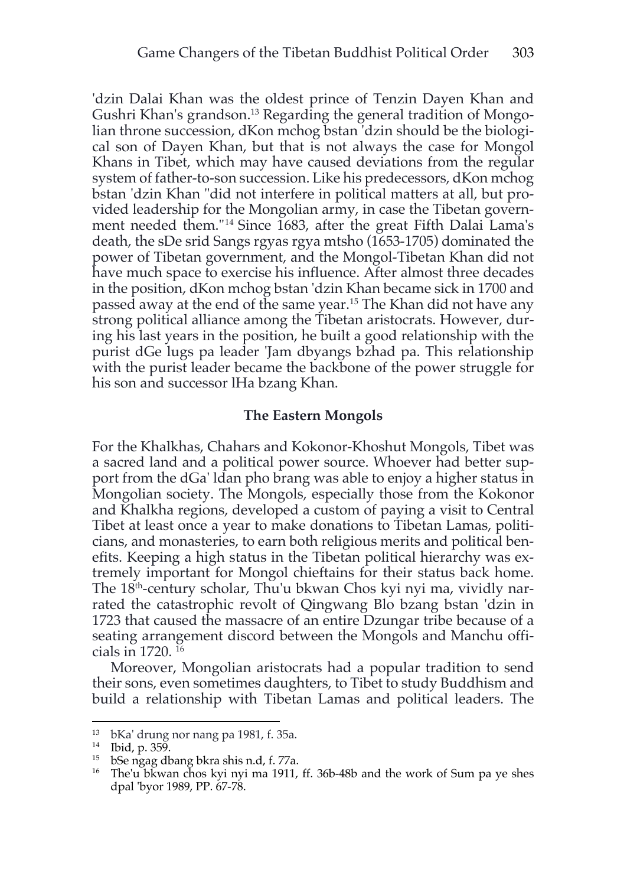'dzin Dalai Khan was the oldest prince of Tenzin Dayen Khan and Gushri Khan's grandson.13 Regarding the general tradition of Mongolian throne succession, dKon mchog bstan 'dzin should be the biological son of Dayen Khan, but that is not always the case for Mongol Khans in Tibet, which may have caused deviations from the regular system of father-to-son succession. Like his predecessors, dKon mchog bstan 'dzin Khan "did not interfere in political matters at all, but provided leadership for the Mongolian army, in case the Tibetan government needed them."14 Since 1683, after the great Fifth Dalai Lama's death, the sDe srid Sangs rgyas rgya mtsho (1653-1705) dominated the power of Tibetan government, and the Mongol-Tibetan Khan did not have much space to exercise his influence. After almost three decades in the position, dKon mchog bstan 'dzin Khan became sick in 1700 and passed away at the end of the same year.15 The Khan did not have any strong political alliance among the Tibetan aristocrats. However, during his last years in the position, he built a good relationship with the purist dGe lugs pa leader 'Jam dbyangs bzhad pa. This relationship with the purist leader became the backbone of the power struggle for his son and successor lHa bzang Khan.

#### **The Eastern Mongols**

For the Khalkhas, Chahars and Kokonor-Khoshut Mongols, Tibet was a sacred land and a political power source. Whoever had better support from the dGa' ldan pho brang was able to enjoy a higher status in Mongolian society. The Mongols, especially those from the Kokonor and Khalkha regions, developed a custom of paying a visit to Central Tibet at least once a year to make donations to Tibetan Lamas, politicians, and monasteries, to earn both religious merits and political benefits. Keeping a high status in the Tibetan political hierarchy was extremely important for Mongol chieftains for their status back home. The 18th-century scholar, Thu'u bkwan Chos kyi nyi ma, vividly narrated the catastrophic revolt of Qingwang Blo bzang bstan 'dzin in 1723 that caused the massacre of an entire Dzungar tribe because of a seating arrangement discord between the Mongols and Manchu officials in 1720. 16

Moreover, Mongolian aristocrats had a popular tradition to send their sons, even sometimes daughters, to Tibet to study Buddhism and build a relationship with Tibetan Lamas and political leaders. The

<sup>13</sup> bKa' drung nor nang pa 1981, f. 35a.

<sup>14</sup> Ibid, p. 359.

<sup>15</sup> bSe ngag dbang bkra shis n.d, f. 77a.

<sup>&</sup>lt;sup>16</sup> The'u bkwan chos kyi nyi ma 1911, ff. 36b-48b and the work of Sum pa ye shes dpal 'byor 1989, PP. 67-78.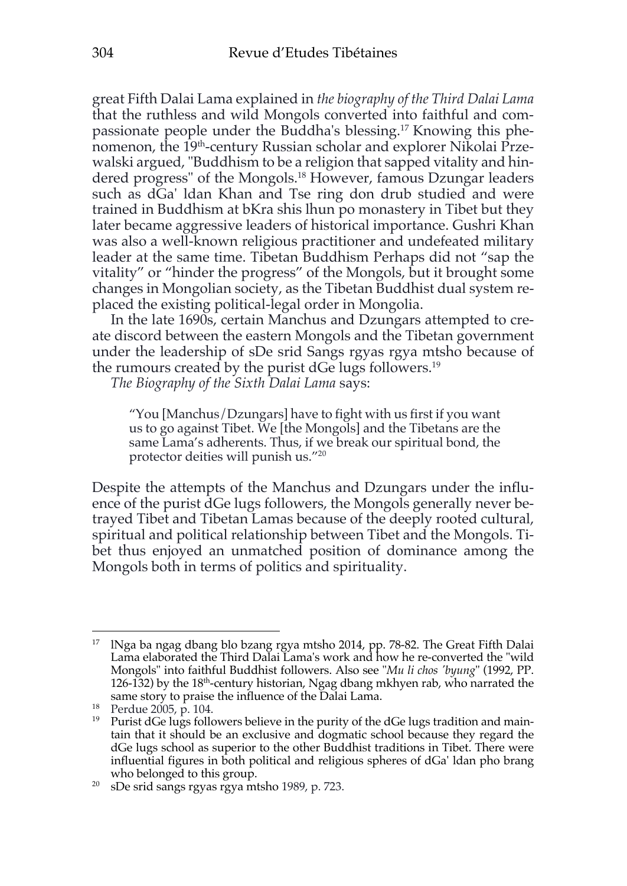great Fifth Dalai Lama explained in *the biography of the Third Dalai Lama* that the ruthless and wild Mongols converted into faithful and compassionate people under the Buddha's blessing.17 Knowing this phenomenon, the 19<sup>th</sup>-century Russian scholar and explorer Nikolai Przewalski argued, "Buddhism to be a religion that sapped vitality and hindered progress" of the Mongols.18 However, famous Dzungar leaders such as dGa' ldan Khan and Tse ring don drub studied and were trained in Buddhism at bKra shis lhun po monastery in Tibet but they later became aggressive leaders of historical importance. Gushri Khan was also a well-known religious practitioner and undefeated military leader at the same time. Tibetan Buddhism Perhaps did not "sap the vitality" or "hinder the progress" of the Mongols, but it brought some changes in Mongolian society, as the Tibetan Buddhist dual system replaced the existing political-legal order in Mongolia.

In the late 1690s, certain Manchus and Dzungars attempted to create discord between the eastern Mongols and the Tibetan government under the leadership of sDe srid Sangs rgyas rgya mtsho because of the rumours created by the purist dGe lugs followers. 19

*The Biography of the Sixth Dalai Lama* says:

"You [Manchus/Dzungars] have to fight with us first if you want us to go against Tibet. We [the Mongols] and the Tibetans are the same Lama's adherents. Thus, if we break our spiritual bond, the protector deities will punish us."20

Despite the attempts of the Manchus and Dzungars under the influence of the purist dGe lugs followers, the Mongols generally never betrayed Tibet and Tibetan Lamas because of the deeply rooted cultural, spiritual and political relationship between Tibet and the Mongols. Tibet thus enjoyed an unmatched position of dominance among the Mongols both in terms of politics and spirituality.

<sup>&</sup>lt;sup>17</sup> INga ba ngag dbang blo bzang rgya mtsho 2014, pp. 78-82. The Great Fifth Dalai Lama elaborated the Third Dalai Lama's work and how he re-converted the "wild Mongols" into faithful Buddhist followers. Also see "*Mu li chos 'byung*" (1992, PP. 126-132) by the 18th-century historian, Ngag dbang mkhyen rab, who narrated the same story to praise the influence of the Dalai Lama.<br><sup>18</sup> Perdue 2005, p. 104.

<sup>&</sup>lt;sup>19</sup> Purist dGe lugs followers believe in the purity of the dGe lugs tradition and maintain that it should be an exclusive and dogmatic school because they regard the dGe lugs school as superior to the other Buddhist traditions in Tibet. There were influential figures in both political and religious spheres of dGa' ldan pho brang who belonged to this group.

<sup>&</sup>lt;sup>20</sup> sDe srid sangs rgyas rgya mtsho 1989, p. 723.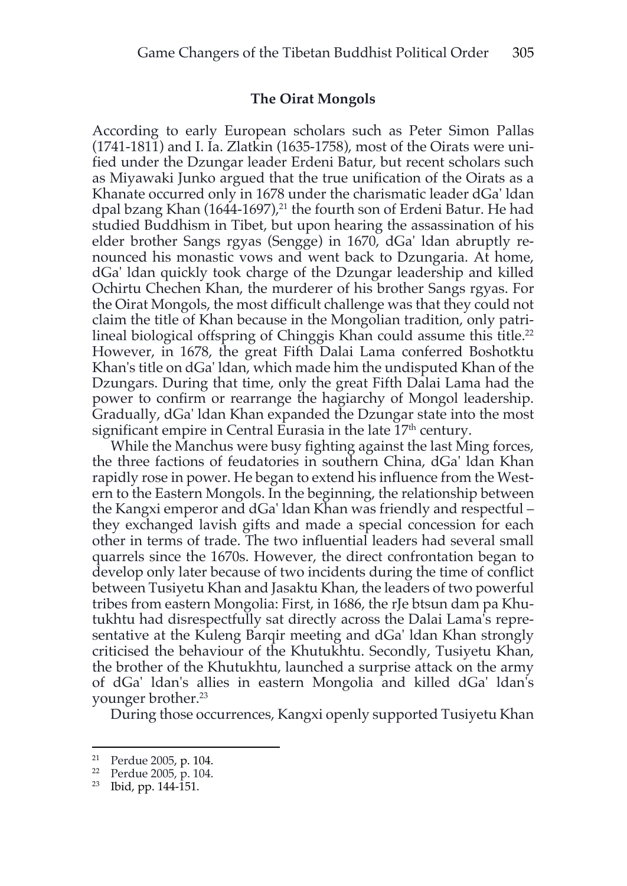#### **The Oirat Mongols**

According to early European scholars such as Peter Simon Pallas (1741-1811) and I. Ia. Zlatkin (1635-1758), most of the Oirats were unified under the Dzungar leader Erdeni Batur, but recent scholars such as Miyawaki Junko argued that the true unification of the Oirats as a Khanate occurred only in 1678 under the charismatic leader dGa' ldan dpal bzang Khan (1644-1697),<sup>21</sup> the fourth son of Erdeni Batur. He had studied Buddhism in Tibet, but upon hearing the assassination of his elder brother Sangs rgyas (Sengge) in 1670, dGa' ldan abruptly renounced his monastic vows and went back to Dzungaria. At home, dGa' ldan quickly took charge of the Dzungar leadership and killed Ochirtu Chechen Khan, the murderer of his brother Sangs rgyas. For the Oirat Mongols, the most difficult challenge was that they could not claim the title of Khan because in the Mongolian tradition, only patrilineal biological offspring of Chinggis Khan could assume this title.<sup>22</sup> However, in 1678, the great Fifth Dalai Lama conferred Boshotktu Khan's title on dGa' ldan, which made him the undisputed Khan of the Dzungars. During that time, only the great Fifth Dalai Lama had the power to confirm or rearrange the hagiarchy of Mongol leadership. Gradually, dGa' ldan Khan expanded the Dzungar state into the most significant empire in Central Eurasia in the late  $17<sup>th</sup>$  century.

While the Manchus were busy fighting against the last Ming forces, the three factions of feudatories in southern China, dGa' ldan Khan rapidly rose in power. He began to extend his influence from the Western to the Eastern Mongols. In the beginning, the relationship between the Kangxi emperor and dGa' ldan Khan was friendly and respectful – they exchanged lavish gifts and made a special concession for each other in terms of trade. The two influential leaders had several small quarrels since the 1670s. However, the direct confrontation began to develop only later because of two incidents during the time of conflict between Tusiyetu Khan and Jasaktu Khan, the leaders of two powerful tribes from eastern Mongolia: First, in 1686, the rJe btsun dam pa Khutukhtu had disrespectfully sat directly across the Dalai Lama's representative at the Kuleng Barqir meeting and dGa' ldan Khan strongly criticised the behaviour of the Khutukhtu. Secondly, Tusiyetu Khan, the brother of the Khutukhtu, launched a surprise attack on the army of dGa' ldan's allies in eastern Mongolia and killed dGa' ldan's younger brother.23

During those occurrences, Kangxi openly supported Tusiyetu Khan

<sup>&</sup>lt;sup>21</sup> Perdue 2005, p. 104.<br><sup>22</sup> Perdue 2005, p. 104.

 $23$  Ibid, pp. 144-151.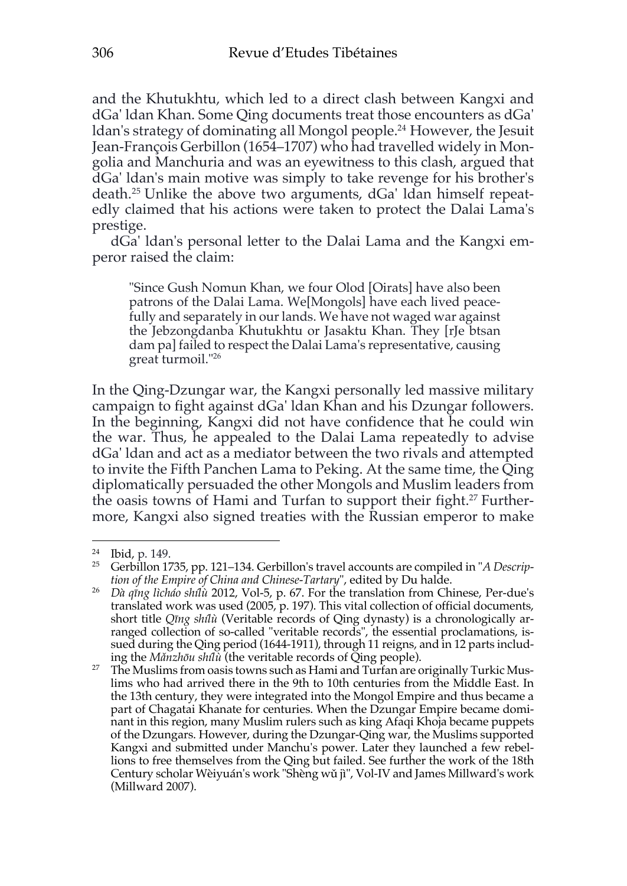and the Khutukhtu, which led to a direct clash between Kangxi and dGa' ldan Khan. Some Qing documents treat those encounters as dGa' ldan's strategy of dominating all Mongol people.24 However, the Jesuit Jean-François Gerbillon (1654–1707) who had travelled widely in Mongolia and Manchuria and was an eyewitness to this clash, argued that dGa' ldan's main motive was simply to take revenge for his brother's death.25 Unlike the above two arguments, dGa' ldan himself repeatedly claimed that his actions were taken to protect the Dalai Lama's prestige.

dGa' ldan's personal letter to the Dalai Lama and the Kangxi emperor raised the claim:

"Since Gush Nomun Khan, we four Olod [Oirats] have also been patrons of the Dalai Lama. We[Mongols] have each lived peacefully and separately in our lands. We have not waged war against the Jebzongdanba Khutukhtu or Jasaktu Khan. They [rJe btsan dam pa] failed to respect the Dalai Lama's representative, causing great turmoil."26

In the Qing-Dzungar war, the Kangxi personally led massive military campaign to fight against dGa' ldan Khan and his Dzungar followers. In the beginning, Kangxi did not have confidence that he could win the war. Thus, he appealed to the Dalai Lama repeatedly to advise dGa' ldan and act as a mediator between the two rivals and attempted to invite the Fifth Panchen Lama to Peking. At the same time, the Qing diplomatically persuaded the other Mongols and Muslim leaders from the oasis towns of Hami and Turfan to support their fight.<sup>27</sup> Furthermore, Kangxi also signed treaties with the Russian emperor to make

<sup>24</sup> Ibid, p. 149.

<sup>25</sup> Gerbillon 1735, pp. 121–134. Gerbillon's travel accounts are compiled in "*A Description of the Empire of China and Chinese-Tartary*", edited by Du halde.

<sup>26</sup> *Dà qīng lìcháo shílù* 2012, Vol-5, p. 67. For the translation from Chinese, Per-due's translated work was used (2005, p. 197). This vital collection of official documents, short title *Qīng shílù* (Veritable records of Qing dynasty) is a chronologically arranged collection of so-called "veritable records", the essential proclamations, issued during the Qing period (1644-1911), through 11 reigns, and in 12 parts includ-

ing the *Mǎnzhōu shílù* (the veritable records of Qing people). 27 The Muslims from oasis towns such as Hami and Turfan are originally Turkic Muslims who had arrived there in the 9th to 10th centuries from the Middle East. In the 13th century, they were integrated into the Mongol Empire and thus became a part of Chagatai Khanate for centuries. When the Dzungar Empire became dominant in this region, many Muslim rulers such as king Afaqi Khoja became puppets of the Dzungars. However, during the Dzungar-Qing war, the Muslims supported Kangxi and submitted under Manchu's power. Later they launched a few rebellions to free themselves from the Qing but failed. See further the work of the 18th Century scholar Wèiyuán's work "Shèng wǔ jì", Vol-IV and James Millward's work (Millward 2007).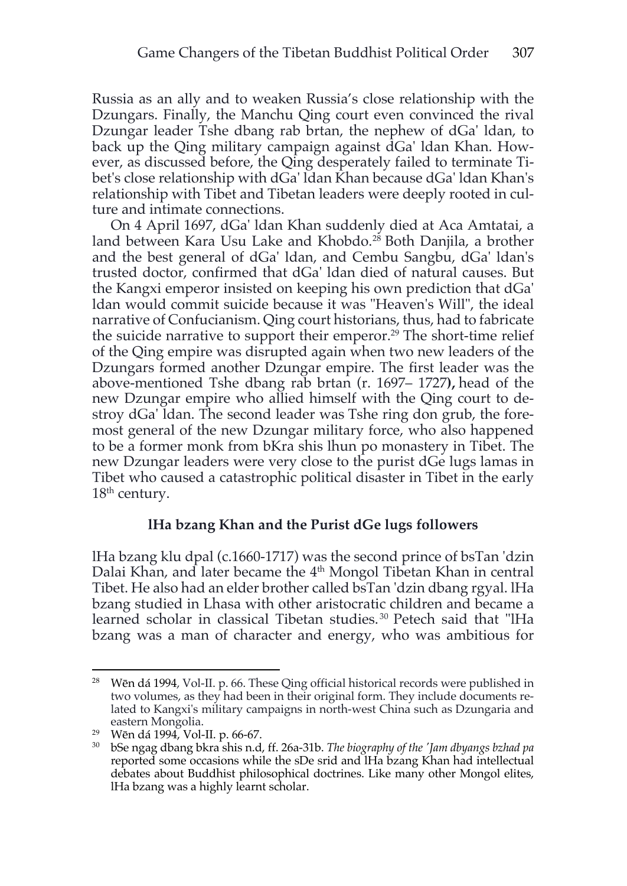Russia as an ally and to weaken Russia's close relationship with the Dzungars. Finally, the Manchu Qing court even convinced the rival Dzungar leader Tshe dbang rab brtan, the nephew of dGa' ldan, to back up the Qing military campaign against dGa' ldan Khan. However, as discussed before, the Qing desperately failed to terminate Tibet's close relationship with dGa' ldan Khan because dGa' ldan Khan's relationship with Tibet and Tibetan leaders were deeply rooted in culture and intimate connections.

On 4 April 1697, dGa' ldan Khan suddenly died at Aca Amtatai, a land between Kara Usu Lake and Khobdo.<sup>28</sup> Both Danjila, a brother and the best general of dGa' ldan, and Cembu Sangbu, dGa' ldan's trusted doctor, confirmed that dGa' ldan died of natural causes. But the Kangxi emperor insisted on keeping his own prediction that dGa' ldan would commit suicide because it was "Heaven's Will", the ideal narrative of Confucianism. Qing court historians, thus, had to fabricate the suicide narrative to support their emperor. <sup>29</sup> The short-time relief of the Qing empire was disrupted again when two new leaders of the Dzungars formed another Dzungar empire. The first leader was the above-mentioned Tshe dbang rab brtan (r. 1697– 1727**),** head of the new Dzungar empire who allied himself with the Qing court to destroy dGa' ldan. The second leader was Tshe ring don grub, the foremost general of the new Dzungar military force, who also happened to be a former monk from bKra shis lhun po monastery in Tibet. The new Dzungar leaders were very close to the purist dGe lugs lamas in Tibet who caused a catastrophic political disaster in Tibet in the early  $18<sup>th</sup>$  century.

### **lHa bzang Khan and the Purist dGe lugs followers**

lHa bzang klu dpal (c.1660-1717) was the second prince of bsTan 'dzin Dalai Khan, and later became the 4<sup>th</sup> Mongol Tibetan Khan in central Tibet. He also had an elder brother called bsTan 'dzin dbang rgyal. lHa bzang studied in Lhasa with other aristocratic children and became a learned scholar in classical Tibetan studies. <sup>30</sup> Petech said that "lHa bzang was a man of character and energy, who was ambitious for

<sup>28</sup> Wēn dá 1994, Vol-II. p. 66. These Qing official historical records were published in two volumes, as they had been in their original form. They include documents related to Kangxi's military campaigns in north-west China such as Dzungaria and eastern Mongolia.

<sup>29</sup> Wēn dá 1994, Vol-II. p. 66-67.

<sup>30</sup> bSe ngag dbang bkra shis n.d, ff. 26a-31b. *The biography of the 'Jam dbyangs bzhad pa* reported some occasions while the sDe srid and lHa bzang Khan had intellectual debates about Buddhist philosophical doctrines. Like many other Mongol elites, lHa bzang was a highly learnt scholar.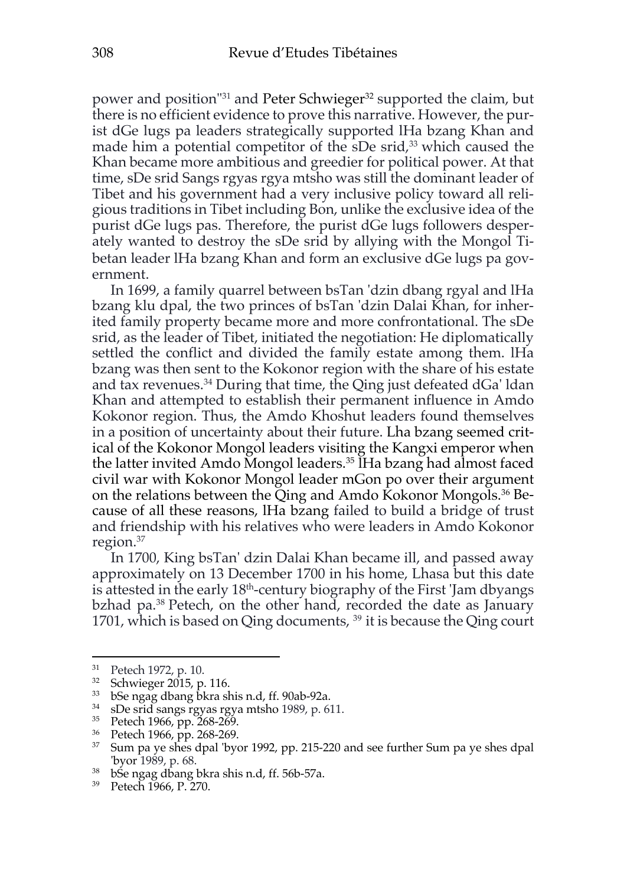power and position"<sup>31</sup> and Peter Schwieger<sup>32</sup> supported the claim, but there is no efficient evidence to prove this narrative. However, the purist dGe lugs pa leaders strategically supported lHa bzang Khan and made him a potential competitor of the sDe srid, $33$  which caused the Khan became more ambitious and greedier for political power. At that time, sDe srid Sangs rgyas rgya mtsho was still the dominant leader of Tibet and his government had a very inclusive policy toward all religious traditions in Tibet including Bon, unlike the exclusive idea of the purist dGe lugs pas. Therefore, the purist dGe lugs followers desperately wanted to destroy the sDe srid by allying with the Mongol Tibetan leader lHa bzang Khan and form an exclusive dGe lugs pa government.

In 1699, a family quarrel between bsTan 'dzin dbang rgyal and lHa bzang klu dpal, the two princes of bsTan 'dzin Dalai Khan, for inherited family property became more and more confrontational. The sDe srid, as the leader of Tibet, initiated the negotiation: He diplomatically settled the conflict and divided the family estate among them. lHa bzang was then sent to the Kokonor region with the share of his estate and tax revenues. $34$  During that time, the Qing just defeated dGa' ldan Khan and attempted to establish their permanent influence in Amdo Kokonor region. Thus, the Amdo Khoshut leaders found themselves in a position of uncertainty about their future. Lha bzang seemed critical of the Kokonor Mongol leaders visiting the Kangxi emperor when the latter invited Amdo Mongol leaders.35 lHa bzang had almost faced civil war with Kokonor Mongol leader mGon po over their argument on the relations between the Qing and Amdo Kokonor Mongols.36 Because of all these reasons, lHa bzang failed to build a bridge of trust and friendship with his relatives who were leaders in Amdo Kokonor region.37

In 1700, King bsTan' dzin Dalai Khan became ill, and passed away approximately on 13 December 1700 in his home, Lhasa but this date is attested in the early 18<sup>th</sup>-century biography of the First 'Jam dbyangs bzhad pa. <sup>38</sup> Petech, on the other hand, recorded the date as January 1701, which is based on Qing documents, <sup>39</sup> it is because the Qing court

 $31$  Petech 1972, p. 10.<br> $32$  Schwieger 2015, p.

<sup>32</sup> Schwieger 2015, p. 116.

<sup>&</sup>lt;sup>33</sup> bSe ngag dbang bkra shis n.d, ff. 90ab-92a.<br><sup>34</sup> sDe srid sangs revas reva mtsho 1989, p. 6

sDe srid sangs rgyas rgya mtsho 1989, p. 611.

<sup>35</sup> Petech 1966, pp. 268-269.

<sup>36</sup> Petech 1966, pp. 268-269.

<sup>&</sup>lt;sup>37</sup> Sum pa ye shes dpal 'byor 1992, pp. 215-220 and see further Sum pa ye shes dpal 'byor 1989, p. 68.

<sup>&</sup>lt;sup>38</sup> bSe ngag dbang bkra shis n.d, ff. 56b-57a.

<sup>39</sup> Petech 1966, P. 270.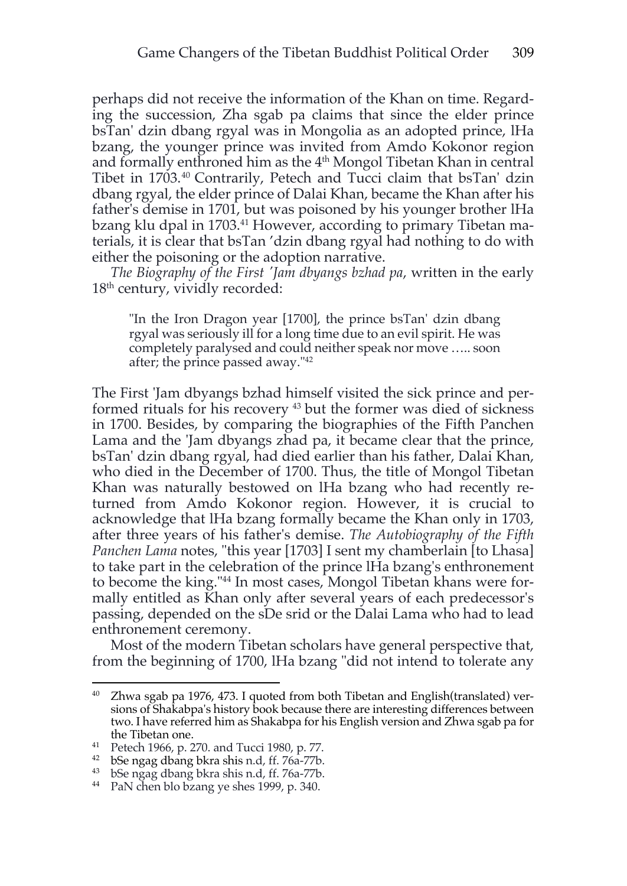perhaps did not receive the information of the Khan on time. Regarding the succession, Zha sgab pa claims that since the elder prince bsTan' dzin dbang rgyal was in Mongolia as an adopted prince, lHa bzang, the younger prince was invited from Amdo Kokonor region and formally enthroned him as the  $4<sup>th</sup>$  Mongol Tibetan Khan in central Tibet in 1703.40 Contrarily, Petech and Tucci claim that bsTan' dzin dbang rgyal, the elder prince of Dalai Khan, became the Khan after his father's demise in 1701, but was poisoned by his younger brother lHa bzang klu dpal in 1703.<sup>41</sup> However, according to primary Tibetan materials, it is clear that bsTan 'dzin dbang rgyal had nothing to do with either the poisoning or the adoption narrative.

*The Biography of the First 'Jam dbyangs bzhad pa*, written in the early 18<sup>th</sup> century, vividly recorded:

"In the Iron Dragon year [1700], the prince bsTan' dzin dbang rgyal was seriously ill for a long time due to an evil spirit. He was completely paralysed and could neither speak nor move ….. soon after; the prince passed away."42

The First 'Jam dbyangs bzhad himself visited the sick prince and performed rituals for his recovery 43 but the former was died of sickness in 1700. Besides, by comparing the biographies of the Fifth Panchen Lama and the 'Jam dbyangs zhad pa, it became clear that the prince, bsTan' dzin dbang rgyal, had died earlier than his father, Dalai Khan, who died in the December of 1700. Thus, the title of Mongol Tibetan Khan was naturally bestowed on lHa bzang who had recently returned from Amdo Kokonor region. However, it is crucial to acknowledge that lHa bzang formally became the Khan only in 1703, after three years of his father's demise. *The Autobiography of the Fifth Panchen Lama* notes, "this year [1703] I sent my chamberlain [to Lhasa] to take part in the celebration of the prince lHa bzang's enthronement to become the king."44 In most cases, Mongol Tibetan khans were formally entitled as Khan only after several years of each predecessor's passing, depended on the sDe srid or the Dalai Lama who had to lead enthronement ceremony.

Most of the modern Tibetan scholars have general perspective that, from the beginning of 1700, lHa bzang "did not intend to tolerate any

<sup>&</sup>lt;sup>40</sup> Zhwa sgab pa 1976, 473. I quoted from both Tibetan and English(translated) versions of Shakabpa's history book because there are interesting differences between two. I have referred him as Shakabpa for his English version and Zhwa sgab pa for the Tibetan one.

<sup>&</sup>lt;sup>41</sup> Petech 1966, p. 270. and Tucci 1980, p. 77.<br><sup>42</sup> bSe ngag dbang bkra shis n.d, ff. 76a-77b.

<sup>43</sup> bSe ngag dbang bkra shis n.d, ff. 76a-77b.

<sup>44</sup> PaN chen blo bzang ye shes 1999, p. 340.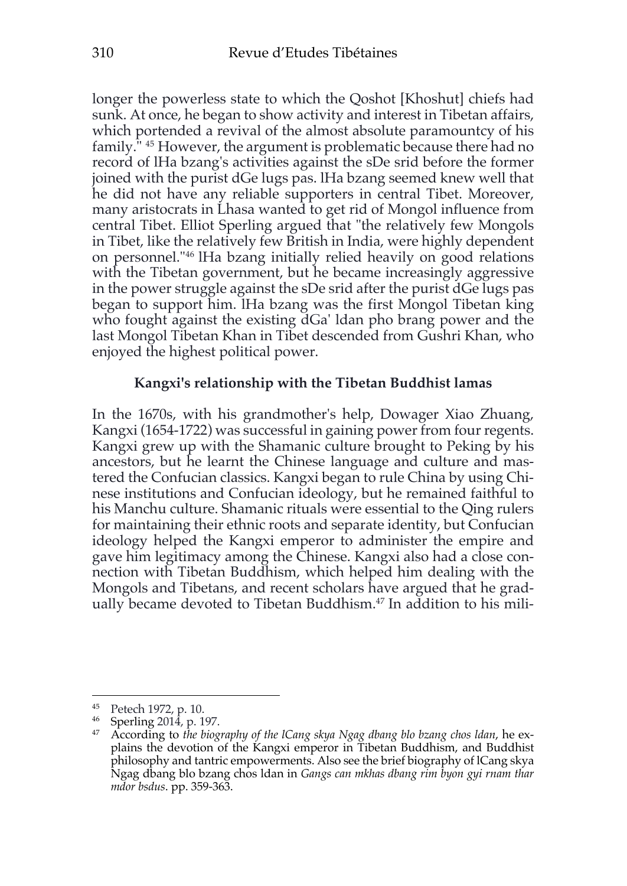longer the powerless state to which the Qoshot [Khoshut] chiefs had sunk. At once, he began to show activity and interest in Tibetan affairs, which portended a revival of the almost absolute paramountcy of his family." 45 However, the argument is problematic because there had no record of lHa bzang's activities against the sDe srid before the former joined with the purist dGe lugs pas. lHa bzang seemed knew well that he did not have any reliable supporters in central Tibet. Moreover, many aristocrats in Lhasa wanted to get rid of Mongol influence from central Tibet. Elliot Sperling argued that "the relatively few Mongols in Tibet, like the relatively few British in India, were highly dependent on personnel."46 lHa bzang initially relied heavily on good relations with the Tibetan government, but he became increasingly aggressive in the power struggle against the sDe srid after the purist dGe lugs pas began to support him. lHa bzang was the first Mongol Tibetan king who fought against the existing dGa' ldan pho brang power and the last Mongol Tibetan Khan in Tibet descended from Gushri Khan, who enjoyed the highest political power.

### **Kangxi's relationship with the Tibetan Buddhist lamas**

In the 1670s, with his grandmother's help, Dowager Xiao Zhuang, Kangxi (1654-1722) was successful in gaining power from four regents. Kangxi grew up with the Shamanic culture brought to Peking by his ancestors, but he learnt the Chinese language and culture and mastered the Confucian classics. Kangxi began to rule China by using Chinese institutions and Confucian ideology, but he remained faithful to his Manchu culture. Shamanic rituals were essential to the Qing rulers for maintaining their ethnic roots and separate identity, but Confucian ideology helped the Kangxi emperor to administer the empire and gave him legitimacy among the Chinese. Kangxi also had a close connection with Tibetan Buddhism, which helped him dealing with the Mongols and Tibetans, and recent scholars have argued that he gradually became devoted to Tibetan Buddhism.<sup>47</sup> In addition to his mili-

<sup>45</sup> Petech 1972, p. 10.

<sup>46</sup> Sperling 2014, p. 197.

<sup>47</sup> According to *the biography of the lCang skya Ngag dbang blo bzang chos ldan*, he explains the devotion of the Kangxi emperor in Tibetan Buddhism, and Buddhist philosophy and tantric empowerments. Also see the brief biography of lCang skya Ngag dbang blo bzang chos ldan in *Gangs can mkhas dbang rim byon gyi rnam thar mdor bsdus*. pp. 359-363.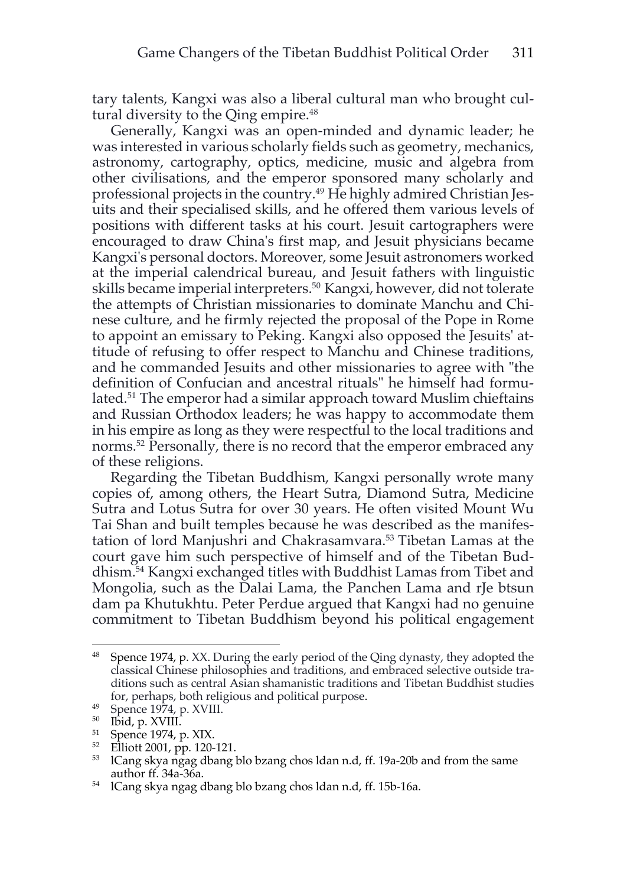tary talents, Kangxi was also a liberal cultural man who brought cultural diversity to the Qing empire.<sup>48</sup>

Generally, Kangxi was an open-minded and dynamic leader; he was interested in various scholarly fields such as geometry, mechanics, astronomy, cartography, optics, medicine, music and algebra from other civilisations, and the emperor sponsored many scholarly and professional projects in the country.49 He highly admired Christian Jesuits and their specialised skills, and he offered them various levels of positions with different tasks at his court. Jesuit cartographers were encouraged to draw China's first map, and Jesuit physicians became Kangxi's personal doctors. Moreover, some Jesuit astronomers worked at the imperial calendrical bureau, and Jesuit fathers with linguistic skills became imperial interpreters.<sup>50</sup> Kangxi, however, did not tolerate the attempts of Christian missionaries to dominate Manchu and Chinese culture, and he firmly rejected the proposal of the Pope in Rome to appoint an emissary to Peking. Kangxi also opposed the Jesuits' attitude of refusing to offer respect to Manchu and Chinese traditions, and he commanded Jesuits and other missionaries to agree with "the definition of Confucian and ancestral rituals" he himself had formulated.<sup>51</sup> The emperor had a similar approach toward Muslim chieftains and Russian Orthodox leaders; he was happy to accommodate them in his empire as long as they were respectful to the local traditions and norms.<sup>52</sup> Personally, there is no record that the emperor embraced any of these religions.

Regarding the Tibetan Buddhism, Kangxi personally wrote many copies of, among others, the Heart Sutra, Diamond Sutra, Medicine Sutra and Lotus Sutra for over 30 years. He often visited Mount Wu Tai Shan and built temples because he was described as the manifestation of lord Manjushri and Chakrasamvara.53 Tibetan Lamas at the court gave him such perspective of himself and of the Tibetan Buddhism.54 Kangxi exchanged titles with Buddhist Lamas from Tibet and Mongolia, such as the Dalai Lama, the Panchen Lama and rJe btsun dam pa Khutukhtu. Peter Perdue argued that Kangxi had no genuine commitment to Tibetan Buddhism beyond his political engagement

<sup>48</sup> Spence 1974, p. XX. During the early period of the Qing dynasty, they adopted the classical Chinese philosophies and traditions, and embraced selective outside traditions such as central Asian shamanistic traditions and Tibetan Buddhist studies for, perhaps, both religious and political purpose.

<sup>49</sup> Spence 1974, p. XVIII.

<sup>50</sup> Ibid, p. XVIII.

 $^{51}$  Spence 1974, p. XIX.

<sup>52</sup> Elliott 2001, pp. 120-121.

<sup>53</sup> lCang skya ngag dbang blo bzang chos ldan n.d, ff. 19a-20b and from the same author ff. 34a-36a.

<sup>54</sup> lCang skya ngag dbang blo bzang chos ldan n.d, ff. 15b-16a.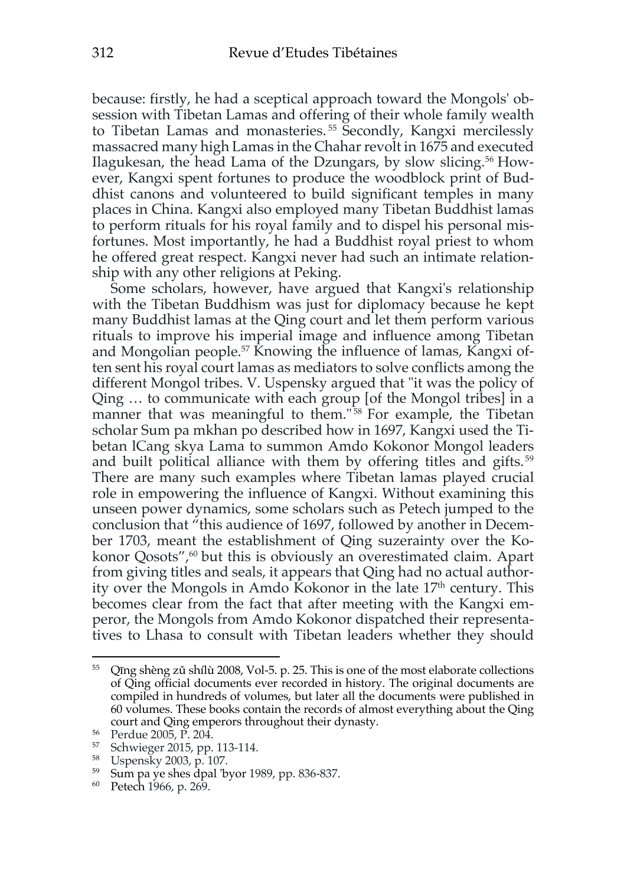because: firstly, he had a sceptical approach toward the Mongols' obsession with Tibetan Lamas and offering of their whole family wealth to Tibetan Lamas and monasteries. <sup>55</sup> Secondly, Kangxi mercilessly massacred many high Lamas in the Chahar revolt in 1675 and executed Ilagukesan, the head Lama of the Dzungars, by slow slicing.56 However, Kangxi spent fortunes to produce the woodblock print of Buddhist canons and volunteered to build significant temples in many places in China. Kangxi also employed many Tibetan Buddhist lamas to perform rituals for his royal family and to dispel his personal misfortunes. Most importantly, he had a Buddhist royal priest to whom he offered great respect. Kangxi never had such an intimate relationship with any other religions at Peking.

Some scholars, however, have argued that Kangxi's relationship with the Tibetan Buddhism was just for diplomacy because he kept many Buddhist lamas at the Qing court and let them perform various rituals to improve his imperial image and influence among Tibetan and Mongolian people.<sup>57</sup> Knowing the influence of lamas, Kangxi often sent his royal court lamas as mediators to solve conflicts among the different Mongol tribes. V. Uspensky argued that "it was the policy of Qing … to communicate with each group [of the Mongol tribes] in a manner that was meaningful to them."<sup>58</sup> For example, the Tibetan scholar Sum pa mkhan po described how in 1697, Kangxi used the Tibetan lCang skya Lama to summon Amdo Kokonor Mongol leaders and built political alliance with them by offering titles and gifts. <sup>59</sup> There are many such examples where Tibetan lamas played crucial role in empowering the influence of Kangxi. Without examining this unseen power dynamics, some scholars such as Petech jumped to the conclusion that "this audience of 1697, followed by another in December 1703, meant the establishment of Qing suzerainty over the Kokonor Qosots",<sup>60</sup> but this is obviously an overestimated claim. Apart from giving titles and seals, it appears that Qing had no actual authority over the Mongols in Amdo Kokonor in the late  $17<sup>th</sup>$  century. This becomes clear from the fact that after meeting with the Kangxi emperor, the Mongols from Amdo Kokonor dispatched their representatives to Lhasa to consult with Tibetan leaders whether they should

<sup>55</sup> Qīng shèng zǔ shílù 2008, Vol-5. p. 25. This is one of the most elaborate collections of Qing official documents ever recorded in history. The original documents are compiled in hundreds of volumes, but later all the documents were published in 60 volumes. These books contain the records of almost everything about the Qing court and Qing emperors throughout their dynasty.

<sup>56</sup> Perdue 2005, P. 204.

<sup>57</sup> Schwieger 2015, pp. 113-114.

<sup>58</sup> Uspensky 2003, p. 107.

<sup>59</sup> Sum pa ye shes dpal 'byor 1989, pp. 836-837.

<sup>60</sup> Petech 1966, p. 269.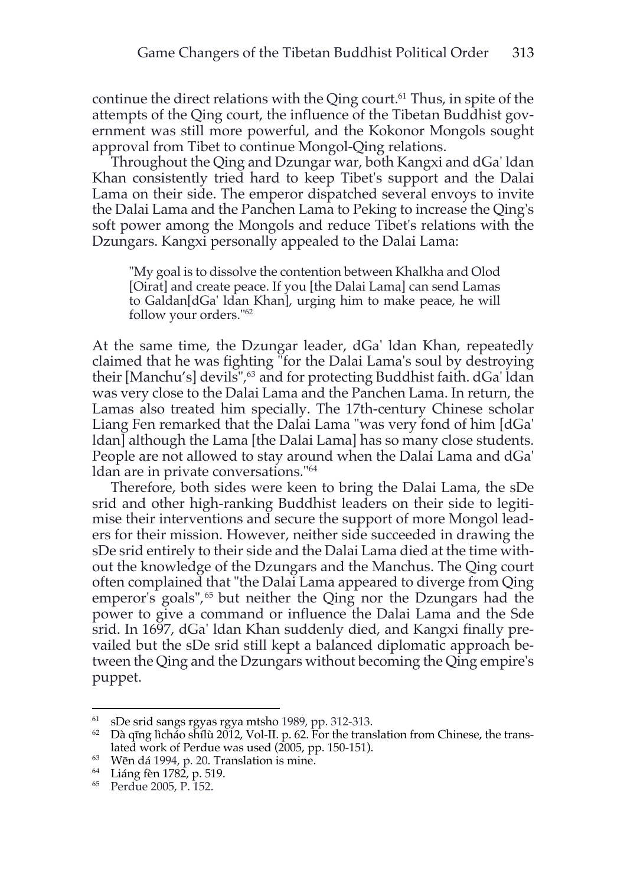continue the direct relations with the Qing court.<sup>61</sup> Thus, in spite of the attempts of the Qing court, the influence of the Tibetan Buddhist government was still more powerful, and the Kokonor Mongols sought approval from Tibet to continue Mongol-Qing relations.

Throughout the Qing and Dzungar war, both Kangxi and dGa' ldan Khan consistently tried hard to keep Tibet's support and the Dalai Lama on their side. The emperor dispatched several envoys to invite the Dalai Lama and the Panchen Lama to Peking to increase the Qing's soft power among the Mongols and reduce Tibet's relations with the Dzungars. Kangxi personally appealed to the Dalai Lama:

"My goal is to dissolve the contention between Khalkha and Olod [Oirat] and create peace. If you [the Dalai Lama] can send Lamas to Galdan[dGa' ldan Khan], urging him to make peace, he will follow your orders."62

At the same time, the Dzungar leader, dGa' ldan Khan, repeatedly claimed that he was fighting "for the Dalai Lama's soul by destroying their [Manchu's] devils",<sup>63</sup> and for protecting Buddhist faith. dGa' ldan was very close to the Dalai Lama and the Panchen Lama. In return, the Lamas also treated him specially. The 17th-century Chinese scholar Liang Fen remarked that the Dalai Lama "was very fond of him [dGa' ldan] although the Lama [the Dalai Lama] has so many close students. People are not allowed to stay around when the Dalai Lama and dGa' ldan are in private conversations."64

Therefore, both sides were keen to bring the Dalai Lama, the sDe srid and other high-ranking Buddhist leaders on their side to legitimise their interventions and secure the support of more Mongol leaders for their mission. However, neither side succeeded in drawing the sDe srid entirely to their side and the Dalai Lama died at the time without the knowledge of the Dzungars and the Manchus. The Qing court often complained that "the Dalai Lama appeared to diverge from Qing emperor's goals",<sup>65</sup> but neither the Qing nor the Dzungars had the power to give a command or influence the Dalai Lama and the Sde srid. In 1697, dGa' ldan Khan suddenly died, and Kangxi finally prevailed but the sDe srid still kept a balanced diplomatic approach between the Qing and the Dzungars without becoming the Qing empire's puppet.

<sup>61</sup> sDe srid sangs rgyas rgya mtsho 1989, pp. 312-313.

 $62$  Dà qīng lìcháo shílù 2012, Vol-II. p. 62. For the translation from Chinese, the translated work of Perdue was used (2005, pp. 150-151).

 $^{63}$  Wēn dá 1994, p. 20. Translation is mine.

<sup>64</sup> Liáng fèn 1782, p. 519.

<sup>65</sup> Perdue 2005, P. 152.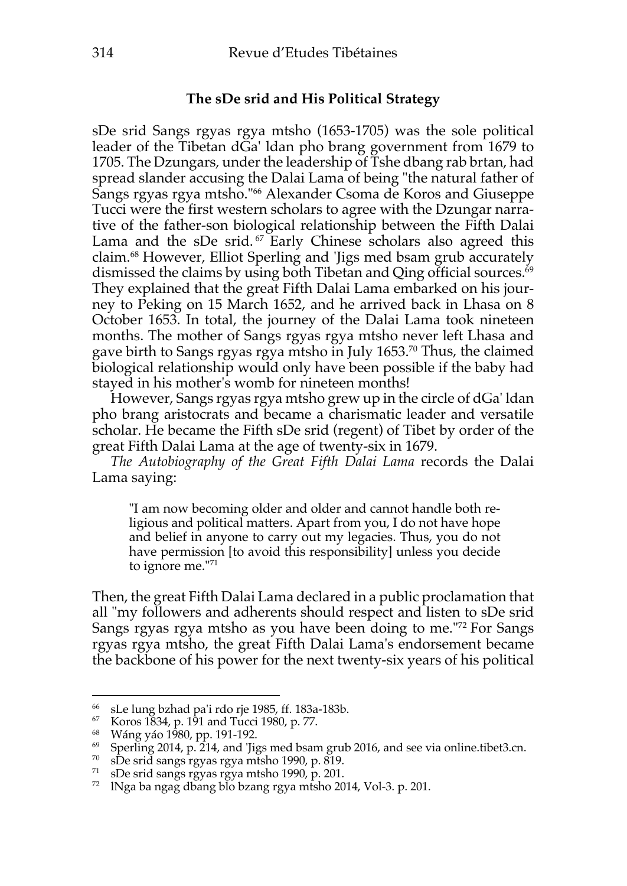### **The sDe srid and His Political Strategy**

sDe srid Sangs rgyas rgya mtsho (1653-1705) was the sole political leader of the Tibetan dGa' ldan pho brang government from 1679 to 1705. The Dzungars, under the leadership of Tshe dbang rab brtan, had spread slander accusing the Dalai Lama of being "the natural father of Sangs rgyas rgya mtsho."<sup>66</sup> Alexander Csoma de Koros and Giuseppe Tucci were the first western scholars to agree with the Dzungar narrative of the father-son biological relationship between the Fifth Dalai Lama and the sDe srid.<sup> $67$ </sup> Early Chinese scholars also agreed this claim.68 However, Elliot Sperling and 'Jigs med bsam grub accurately dismissed the claims by using both Tibetan and Qing official sources. 69 They explained that the great Fifth Dalai Lama embarked on his journey to Peking on 15 March 1652, and he arrived back in Lhasa on 8 October 1653. In total, the journey of the Dalai Lama took nineteen months. The mother of Sangs rgyas rgya mtsho never left Lhasa and gave birth to Sangs rgyas rgya mtsho in July 1653.70 Thus, the claimed biological relationship would only have been possible if the baby had stayed in his mother's womb for nineteen months!

However, Sangs rgyas rgya mtsho grew up in the circle of dGa' ldan pho brang aristocrats and became a charismatic leader and versatile scholar. He became the Fifth sDe srid (regent) of Tibet by order of the great Fifth Dalai Lama at the age of twenty-six in 1679.

*The Autobiography of the Great Fifth Dalai Lama* records the Dalai Lama saying:

"I am now becoming older and older and cannot handle both religious and political matters. Apart from you, I do not have hope and belief in anyone to carry out my legacies. Thus, you do not have permission [to avoid this responsibility] unless you decide to ignore me."71

Then, the great Fifth Dalai Lama declared in a public proclamation that all "my followers and adherents should respect and listen to sDe srid Sangs rgyas rgya mtsho as you have been doing to me."72 For Sangs rgyas rgya mtsho, the great Fifth Dalai Lama's endorsement became the backbone of his power for the next twenty-six years of his political

<sup>70</sup> sDe srid sangs rgyas rgya mtsho 1990, p. 819.<br><sup>71</sup> sDe srid sangs rgyas rgya mtsho 1990, p. 201.

<sup>66</sup> sLe lung bzhad pa'i rdo rje 1985, ff. 183a-183b.

<sup>67</sup> Koros 1834, p. 191 and Tucci 1980, p. 77.

<sup>68</sup> Wáng yáo 1980, pp. 191-192.

<sup>&</sup>lt;sup>69</sup> Sperling 2014, p.  $214$ , and 'Jigs med bsam grub 2016, and see via online.tibet3.cn.

<sup>&</sup>lt;sup>72</sup> INga ba ngag dbang blo bzang rgya mtsho 2014, Vol-3. p. 201.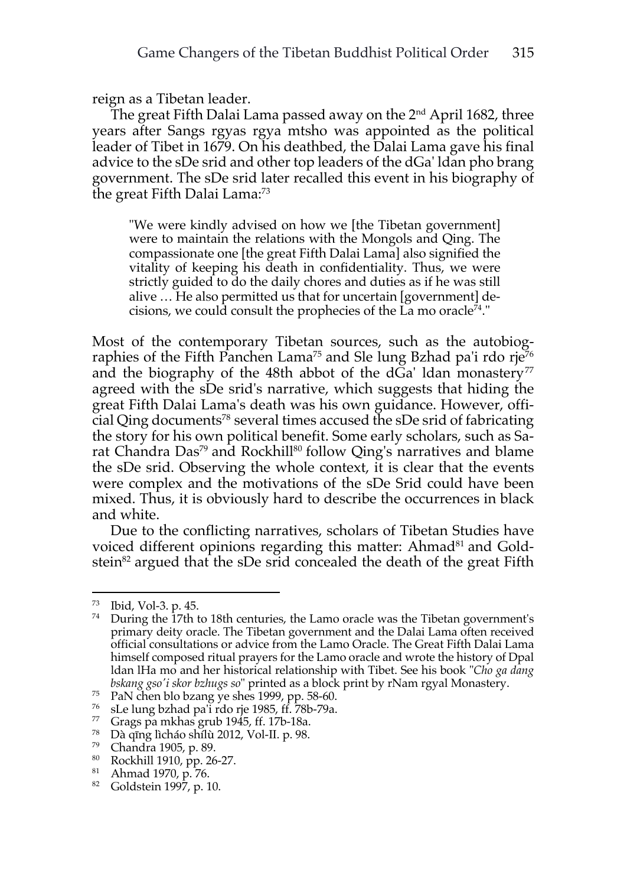reign as a Tibetan leader.

The great Fifth Dalai Lama passed away on the 2nd April 1682, three years after Sangs rgyas rgya mtsho was appointed as the political leader of Tibet in 1679. On his deathbed, the Dalai Lama gave his final advice to the sDe srid and other top leaders of the dGa' ldan pho brang government. The sDe srid later recalled this event in his biography of the great Fifth Dalai Lama:73

"We were kindly advised on how we [the Tibetan government] were to maintain the relations with the Mongols and Qing. The compassionate one [the great Fifth Dalai Lama] also signified the vitality of keeping his death in confidentiality. Thus, we were strictly guided to do the daily chores and duties as if he was still alive … He also permitted us that for uncertain [government] decisions, we could consult the prophecies of the La mo oracle<sup>74</sup>."

Most of the contemporary Tibetan sources, such as the autobiographies of the Fifth Panchen Lama<sup>75</sup> and Sle lung Bzhad pa'i rdo rje<sup>76</sup> and the biography of the 48th abbot of the  $dGa'$  ldan monastery<sup>77</sup> agreed with the sDe srid's narrative, which suggests that hiding the great Fifth Dalai Lama's death was his own guidance. However, official Qing documents78 several times accused the sDe srid of fabricating the story for his own political benefit. Some early scholars, such as Sarat Chandra Das<sup>79</sup> and Rockhill<sup>80</sup> follow Qing's narratives and blame the sDe srid. Observing the whole context, it is clear that the events were complex and the motivations of the sDe Srid could have been mixed. Thus, it is obviously hard to describe the occurrences in black and white.

Due to the conflicting narratives, scholars of Tibetan Studies have voiced different opinions regarding this matter: Ahmad<sup>81</sup> and Goldstein<sup>82</sup> argued that the sDe srid concealed the death of the great Fifth

<sup>&</sup>lt;sup>73</sup> Ibid, Vol-3. p. 45.<br><sup>74</sup> During the 17th to 18th centuries, the Lamo oracle was the Tibetan government's primary deity oracle. The Tibetan government and the Dalai Lama often received official consultations or advice from the Lamo Oracle. The Great Fifth Dalai Lama himself composed ritual prayers for the Lamo oracle and wrote the history of Dpal ldan lHa mo and her historical relationship with Tibet. See his book "*Cho ga dang bskang gso'i skor bzhugs so*" printed as a block print by rNam rgyal Monastery.

<sup>75</sup> PaN chen blo bzang ye shes 1999, pp. 58-60.

 $76$  sLe lung bzhad pa'i rdo rje 1985, ff. 78b-79a.

<sup>77</sup> Grags pa mkhas grub 1945, ff. 17b-18a.

<sup>&</sup>lt;sup>78</sup> Dà qīng lìcháo shílù 2012, Vol-II. p. 98.

 $^{79}$  Chandra 1905, p. 89.<br> $^{80}$  Rockhill 1910 pp. 26

 $^{80}$  Rockhill 1910, pp. 26-27.

Ahmad 1970, p. 76.

<sup>82</sup> Goldstein 1997, p. 10.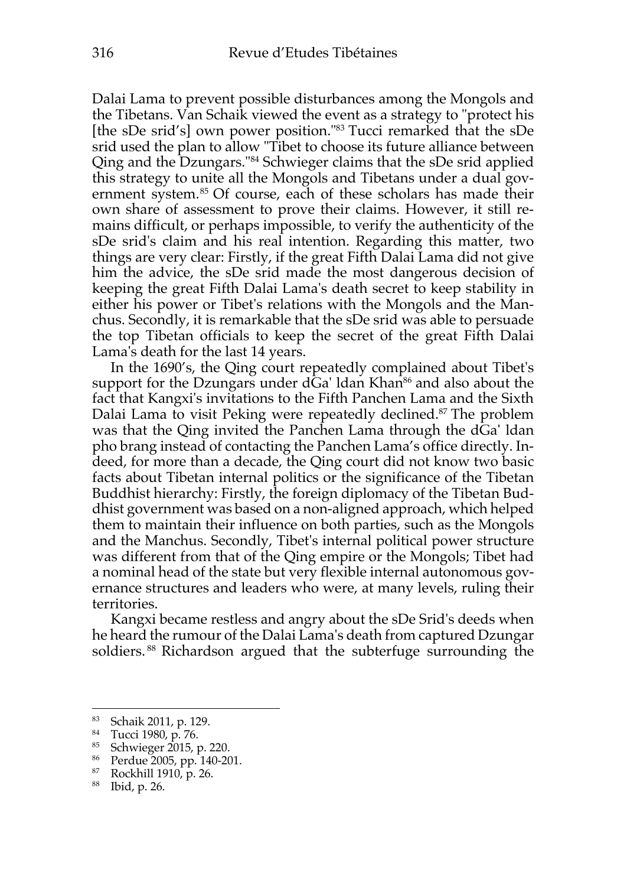Dalai Lama to prevent possible disturbances among the Mongols and the Tibetans. Van Schaik viewed the event as a strategy to "protect his [the sDe srid's] own power position."83 Tucci remarked that the sDe srid used the plan to allow "Tibet to choose its future alliance between Qing and the Dzungars."84 Schwieger claims that the sDe srid applied this strategy to unite all the Mongols and Tibetans under a dual government system.<sup>85</sup> Of course, each of these scholars has made their own share of assessment to prove their claims. However, it still remains difficult, or perhaps impossible, to verify the authenticity of the sDe srid's claim and his real intention. Regarding this matter, two things are very clear: Firstly, if the great Fifth Dalai Lama did not give him the advice, the sDe srid made the most dangerous decision of keeping the great Fifth Dalai Lama's death secret to keep stability in either his power or Tibet's relations with the Mongols and the Manchus. Secondly, it is remarkable that the sDe srid was able to persuade the top Tibetan officials to keep the secret of the great Fifth Dalai Lama's death for the last 14 years.

In the 1690's, the Qing court repeatedly complained about Tibet's support for the Dzungars under  $dGa'$  Idan Khan<sup>86</sup> and also about the fact that Kangxi's invitations to the Fifth Panchen Lama and the Sixth Dalai Lama to visit Peking were repeatedly declined.<sup>87</sup> The problem was that the Qing invited the Panchen Lama through the dGa' ldan pho brang instead of contacting the Panchen Lama's office directly. Indeed, for more than a decade, the Qing court did not know two basic facts about Tibetan internal politics or the significance of the Tibetan Buddhist hierarchy: Firstly, the foreign diplomacy of the Tibetan Buddhist government was based on a non-aligned approach, which helped them to maintain their influence on both parties, such as the Mongols and the Manchus. Secondly, Tibet's internal political power structure was different from that of the Qing empire or the Mongols; Tibet had a nominal head of the state but very flexible internal autonomous governance structures and leaders who were, at many levels, ruling their territories.

Kangxi became restless and angry about the sDe Srid's deeds when he heard the rumour of the Dalai Lama's death from captured Dzungar soldiers.<sup>88</sup> Richardson argued that the subterfuge surrounding the

<sup>83</sup> Schaik 2011, p. 129.

<sup>84</sup> Tucci 1980, p. 76.

<sup>85</sup> Schwieger 2015, p. 220.

 $^{86}$  Perdue 2005, pp. 140-201.<br> $^{87}$  Rockhill 1910, p. 26

<sup>87</sup> Rockhill 1910, p. 26.

<sup>88</sup> Ibid, p. 26.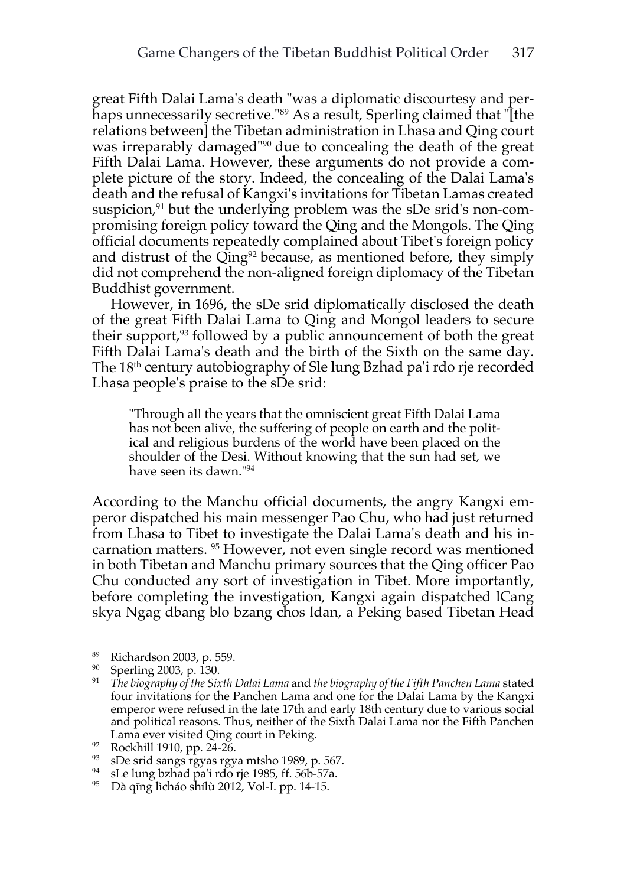great Fifth Dalai Lama's death "was a diplomatic discourtesy and perhaps unnecessarily secretive."89 As a result, Sperling claimed that "[the relations between] the Tibetan administration in Lhasa and Qing court was irreparably damaged"90 due to concealing the death of the great Fifth Dalai Lama. However, these arguments do not provide a complete picture of the story. Indeed, the concealing of the Dalai Lama's death and the refusal of Kangxi's invitations for Tibetan Lamas created suspicion, $91$  but the underlying problem was the sDe srid's non-compromising foreign policy toward the Qing and the Mongols. The Qing official documents repeatedly complained about Tibet's foreign policy and distrust of the Qing<sup>92</sup> because, as mentioned before, they simply did not comprehend the non-aligned foreign diplomacy of the Tibetan Buddhist government.

However, in 1696, the sDe srid diplomatically disclosed the death of the great Fifth Dalai Lama to Qing and Mongol leaders to secure their support,<sup>93</sup> followed by a public announcement of both the great Fifth Dalai Lama's death and the birth of the Sixth on the same day. The 18<sup>th</sup> century autobiography of Sle lung Bzhad pa'i rdo rje recorded Lhasa people's praise to the sDe srid:

"Through all the years that the omniscient great Fifth Dalai Lama has not been alive, the suffering of people on earth and the political and religious burdens of the world have been placed on the shoulder of the Desi. Without knowing that the sun had set, we have seen its dawn."94

According to the Manchu official documents, the angry Kangxi emperor dispatched his main messenger Pao Chu, who had just returned from Lhasa to Tibet to investigate the Dalai Lama's death and his incarnation matters. <sup>95</sup> However, not even single record was mentioned in both Tibetan and Manchu primary sources that the Qing officer Pao Chu conducted any sort of investigation in Tibet. More importantly, before completing the investigation, Kangxi again dispatched lCang skya Ngag dbang blo bzang chos ldan, a Peking based Tibetan Head

<sup>89</sup> Richardson 2003, p. 559.

<sup>90</sup> Sperling 2003, p. 130.

<sup>91</sup> *The biography of the Sixth Dalai Lama* and *the biography of the Fifth Panchen Lama* stated four invitations for the Panchen Lama and one for the Dalai Lama by the Kangxi emperor were refused in the late 17th and early 18th century due to various social and political reasons. Thus, neither of the Sixth Dalai Lama nor the Fifth Panchen Lama ever visited Qing court in Peking.

<sup>92</sup> Rockhill 1910, pp. 24-26.

<sup>&</sup>lt;sup>93</sup> sDe srid sangs rgyas rgya mtsho 1989, p. 567.<br><sup>94</sup> sLe lung bzhad pa'i rdo rje 1985, ff. 56b-57a.

sLe lung bzhad pa'i rdo rje 1985, ff. 56b-57a.

<sup>95</sup> Dà qīng lìcháo shílù 2012, Vol-I. pp. 14-15.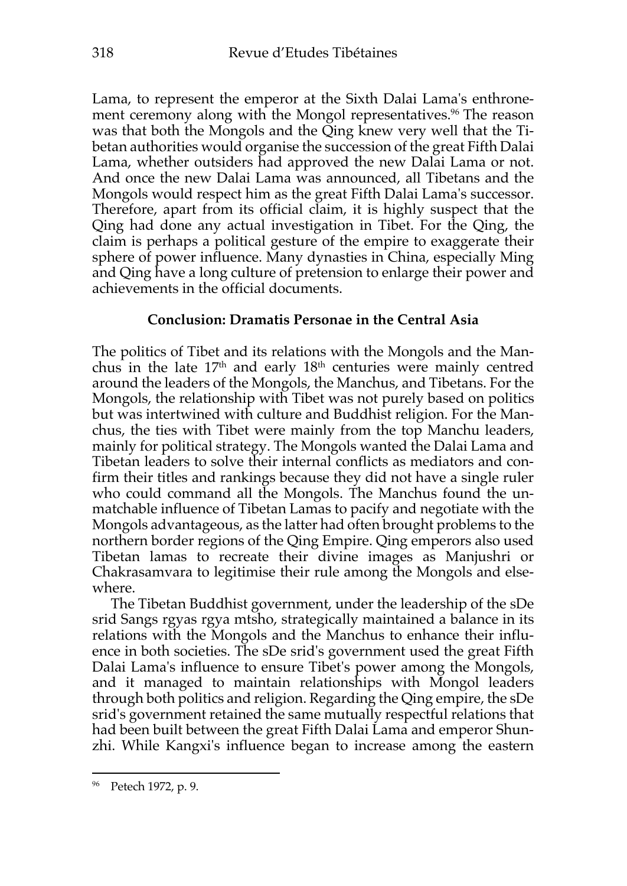Lama, to represent the emperor at the Sixth Dalai Lama's enthronement ceremony along with the Mongol representatives.<sup>96</sup> The reason was that both the Mongols and the Qing knew very well that the Tibetan authorities would organise the succession of the great Fifth Dalai Lama, whether outsiders had approved the new Dalai Lama or not. And once the new Dalai Lama was announced, all Tibetans and the Mongols would respect him as the great Fifth Dalai Lama's successor. Therefore, apart from its official claim, it is highly suspect that the Qing had done any actual investigation in Tibet. For the Qing, the claim is perhaps a political gesture of the empire to exaggerate their sphere of power influence. Many dynasties in China, especially Ming and Qing have a long culture of pretension to enlarge their power and achievements in the official documents.

### **Conclusion: Dramatis Personae in the Central Asia**

The politics of Tibet and its relations with the Mongols and the Manchus in the late  $17<sup>th</sup>$  and early  $18<sup>th</sup>$  centuries were mainly centred around the leaders of the Mongols, the Manchus, and Tibetans. For the Mongols, the relationship with Tibet was not purely based on politics but was intertwined with culture and Buddhist religion. For the Manchus, the ties with Tibet were mainly from the top Manchu leaders, mainly for political strategy. The Mongols wanted the Dalai Lama and Tibetan leaders to solve their internal conflicts as mediators and confirm their titles and rankings because they did not have a single ruler who could command all the Mongols. The Manchus found the unmatchable influence of Tibetan Lamas to pacify and negotiate with the Mongols advantageous, as the latter had often brought problems to the northern border regions of the Qing Empire. Qing emperors also used Tibetan lamas to recreate their divine images as Manjushri or Chakrasamvara to legitimise their rule among the Mongols and elsewhere.

The Tibetan Buddhist government, under the leadership of the sDe srid Sangs rgyas rgya mtsho, strategically maintained a balance in its relations with the Mongols and the Manchus to enhance their influence in both societies. The sDe srid's government used the great Fifth Dalai Lama's influence to ensure Tibet's power among the Mongols, and it managed to maintain relationships with Mongol leaders through both politics and religion. Regarding the Qing empire, the sDe srid's government retained the same mutually respectful relations that had been built between the great Fifth Dalai Lama and emperor Shunzhi. While Kangxi's influence began to increase among the eastern

<sup>96</sup> Petech 1972, p. 9.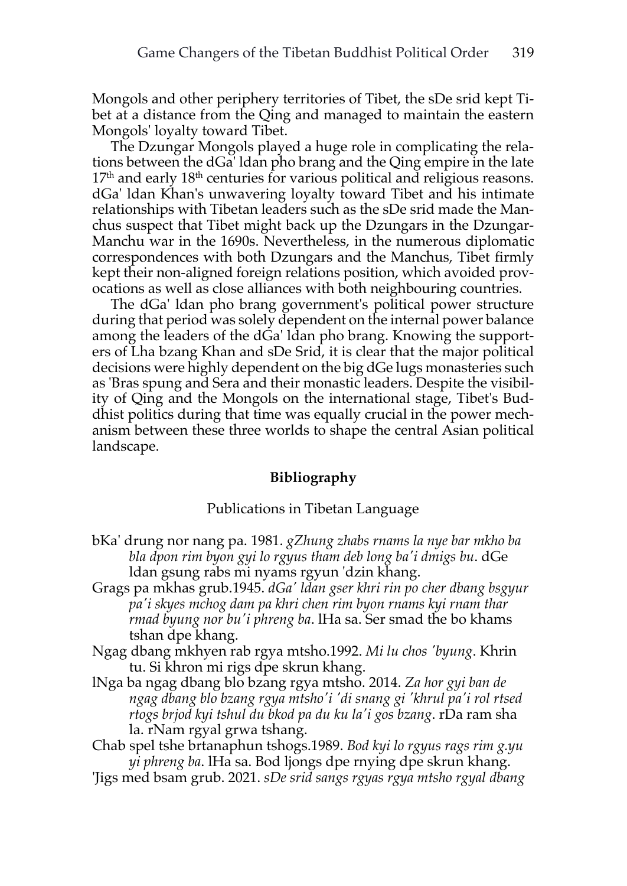Mongols and other periphery territories of Tibet, the sDe srid kept Tibet at a distance from the Qing and managed to maintain the eastern Mongols' loyalty toward Tibet.

The Dzungar Mongols played a huge role in complicating the relations between the dGa' ldan pho brang and the Qing empire in the late  $17<sup>th</sup>$  and early  $18<sup>th</sup>$  centuries for various political and religious reasons. dGa' ldan Khan's unwavering loyalty toward Tibet and his intimate relationships with Tibetan leaders such as the sDe srid made the Manchus suspect that Tibet might back up the Dzungars in the Dzungar-Manchu war in the 1690s. Nevertheless, in the numerous diplomatic correspondences with both Dzungars and the Manchus, Tibet firmly kept their non-aligned foreign relations position, which avoided provocations as well as close alliances with both neighbouring countries.

The dGa' ldan pho brang government's political power structure during that period was solely dependent on the internal power balance among the leaders of the dGa' ldan pho brang. Knowing the supporters of Lha bzang Khan and sDe Srid, it is clear that the major political decisions were highly dependent on the big dGe lugs monasteries such as 'Bras spung and Sera and their monastic leaders. Despite the visibility of Qing and the Mongols on the international stage, Tibet's Buddhist politics during that time was equally crucial in the power mechanism between these three worlds to shape the central Asian political landscape.

#### **Bibliography**

#### Publications in Tibetan Language

- bKa' drung nor nang pa. 1981. *gZhung zhabs rnams la nye bar mkho ba bla dpon rim byon gyi lo rgyus tham deb long ba'i dmigs bu*. dGe ldan gsung rabs mi nyams rgyun 'dzin khang.
- Grags pa mkhas grub.1945. *dGa' ldan gser khri rin po cher dbang bsgyur pa'i skyes mchog dam pa khri chen rim byon rnams kyi rnam thar rmad byung nor bu'i phreng ba*. lHa sa. Ser smad the bo khams tshan dpe khang.
- Ngag dbang mkhyen rab rgya mtsho.1992. *Mi lu chos 'byung*. Khrin tu. Si khron mi rigs dpe skrun khang.
- lNga ba ngag dbang blo bzang rgya mtsho. 2014. *Za hor gyi ban de ngag dbang blo bzang rgya mtsho'i 'di snang gi 'khrul pa'i rol rtsed rtogs brjod kyi tshul du bkod pa du ku la'i gos bzang*. rDa ram sha la. rNam rgyal grwa tshang.
- Chab spel tshe brtanaphun tshogs.1989. *Bod kyi lo rgyus rags rim g.yu yi phreng ba*. lHa sa. Bod ljongs dpe rnying dpe skrun khang.
- 'Jigs med bsam grub. 2021. *sDe srid sangs rgyas rgya mtsho rgyal dbang*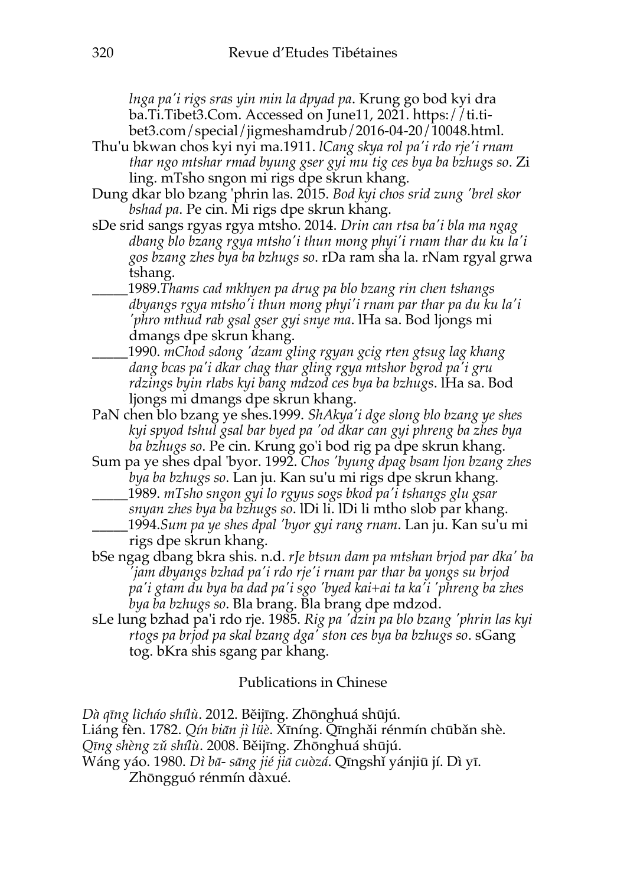*lnga pa'i rigs sras yin min la dpyad pa*. Krung go bod kyi dra ba.Ti.Tibet3.Com. Accessed on June11, 2021. https://ti.tibet3.com/special/jigmeshamdrub/2016-04-20/10048.html.

- Thu'u bkwan chos kyi nyi ma.1911. *lCang skya rol pa'i rdo rje'i rnam thar ngo mtshar rmad byung gser gyi mu tig ces bya ba bzhugs so*. Zi ling. mTsho sngon mi rigs dpe skrun khang.
- Dung dkar blo bzang 'phrin las. 2015. *Bod kyi chos srid zung 'brel skor bshad pa*. Pe cin. Mi rigs dpe skrun khang.
- sDe srid sangs rgyas rgya mtsho. 2014. *Drin can rtsa ba'i bla ma ngag dbang blo bzang rgya mtsho'i thun mong phyi'i rnam thar du ku la'i gos bzang zhes bya ba bzhugs so*. rDa ram sha la. rNam rgyal grwa tshang.
	- \_\_\_\_\_1989.*Thams cad mkhyen pa drug pa blo bzang rin chen tshangs dbyangs rgya mtsho'i thun mong phyi'i rnam par thar pa du ku la'i 'phro mthud rab gsal gser gyi snye ma*. lHa sa. Bod ljongs mi dmangs dpe skrun khang.
	- \_\_\_\_\_1990. *mChod sdong 'dzam gling rgyan gcig rten gtsug lag khang dang bcas pa'i dkar chag thar gling rgya mtshor bgrod pa'i gru rdzings byin rlabs kyi bang mdzod ces bya ba bzhugs*. lHa sa. Bod ljongs mi dmangs dpe skrun khang.
- PaN chen blo bzang ye shes.1999. *ShAkya'i dge slong blo bzang ye shes kyi spyod tshul gsal bar byed pa 'od dkar can gyi phreng ba zhes bya ba bzhugs so*. Pe cin. Krung go'i bod rig pa dpe skrun khang.
- Sum pa ye shes dpal 'byor. 1992. *Chos 'byung dpag bsam ljon bzang zhes bya ba bzhugs so*. Lan ju. Kan su'u mi rigs dpe skrun khang. \_\_\_\_\_1989. *mTsho sngon gyi lo rgyus sogs bkod pa'i tshangs glu gsar*
- *snyan zhes bya ba bzhugs so*. lDi li. lDi li mtho slob par khang. \_\_\_\_\_1994.*Sum pa ye shes dpal 'byor gyi rang rnam*. Lan ju. Kan su'u mi rigs dpe skrun khang.
- bSe ngag dbang bkra shis. n.d. *rJe btsun dam pa mtshan brjod par dka' ba 'jam dbyangs bzhad pa'i rdo rje'i rnam par thar ba yongs su brjod pa'i gtam du bya ba dad pa'i sgo 'byed kai+ai ta ka'i 'phreng ba zhes bya ba bzhugs so*. Bla brang. Bla brang dpe mdzod.
- sLe lung bzhad pa'i rdo rje. 1985. *Rig pa 'dzin pa blo bzang 'phrin las kyi rtogs pa brjod pa skal bzang dga' ston ces bya ba bzhugs so*. sGang tog. bKra shis sgang par khang.

## Publications in Chinese

*Dà qīng lìcháo shílù*. 2012. Běijīng. Zhōnghuá shūjú.

Liáng fèn. 1782. *Qín biān jì lüè*. Xīníng. Qīnghǎi rénmín chūbǎn shè.

*Qīng shèng zǔ shílù*. 2008. Běijīng. Zhōnghuá shūjú.

Wáng yáo. 1980. *Dì bā- sāng jié jiā cuòzá*. Qīngshǐ yánjiū jí. Dì yī. Zhōngguó rénmín dàxué.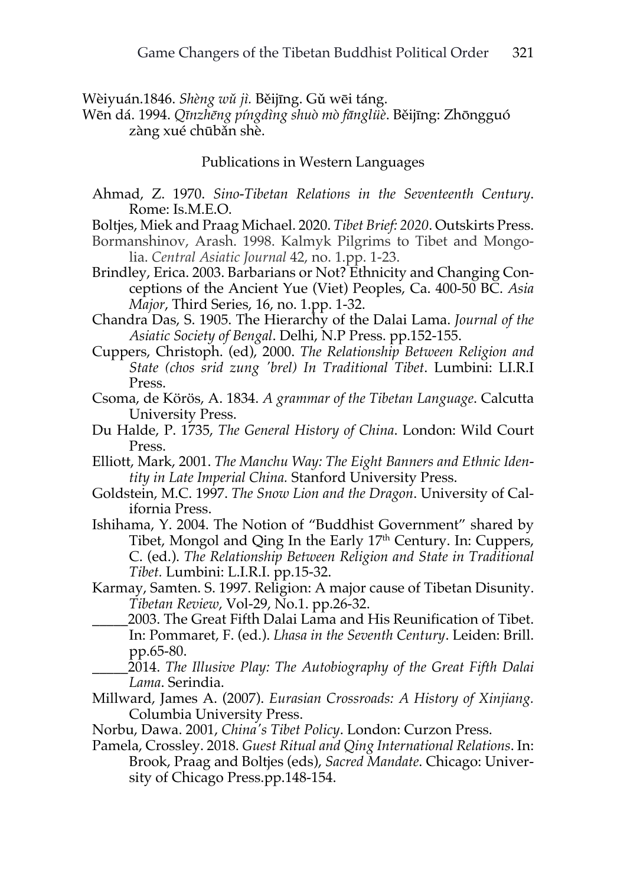Wèiyuán.1846. *Shèng wǔ jì.* Běijīng. Gǔ wēi táng.

Wēn dá. 1994. *Qīnzhēng píngdìng shuò mò fānglüè*. Běijīng: Zhōngguó zàng xué chūbǎn shè.

Publications in Western Languages

- Ahmad, Z. 1970. *Sino-Tibetan Relations in the Seventeenth Century*. Rome: Is.M.E.O.
- Boltjes, Miek and Praag Michael. 2020. *Tibet Brief: 2020*. Outskirts Press.
- Bormanshinov, Arash. 1998. Kalmyk Pilgrims to Tibet and Mongolia. *Central Asiatic Journal* 42, no. 1.pp. 1-23.
- Brindley, Erica. 2003. Barbarians or Not? Ethnicity and Changing Conceptions of the Ancient Yue (Viet) Peoples, Ca. 400-50 BC. *Asia Major*, Third Series, 16, no. 1.pp. 1-32.
- Chandra Das, S. 1905. The Hierarchy of the Dalai Lama. *Journal of the Asiatic Society of Bengal*. Delhi, N.P Press. pp.152-155.
- Cuppers, Christoph. (ed), 2000. *The Relationship Between Religion and State (chos srid zung 'brel) In Traditional Tibet*. Lumbini: LI.R.I Press.
- Csoma, de Körös, A. 1834. *A grammar of the Tibetan Language*. Calcutta University Press.
- Du Halde, P. 1735, *The General History of China*. London: Wild Court Press.
- Elliott, Mark, 2001. *The Manchu Way: The Eight Banners and Ethnic Identity in Late Imperial China.* Stanford University Press.
- Goldstein, M.C. 1997. *The Snow Lion and the Dragon*. University of California Press.
- Ishihama, Y. 2004. The Notion of "Buddhist Government" shared by Tibet, Mongol and Qing In the Early 17<sup>th</sup> Century. In: Cuppers, C. (ed.). *The Relationship Between Religion and State in Traditional Tibet.* Lumbini: L.I.R.I. pp.15-32.
- Karmay, Samten. S. 1997. Religion: A major cause of Tibetan Disunity. *Tibetan Review*, Vol-29, No.1. pp.26-32.
	- \_\_\_\_\_2003. The Great Fifth Dalai Lama and His Reunification of Tibet. In: Pommaret, F. (ed.). *Lhasa in the Seventh Century*. Leiden: Brill. pp.65-80.
		- \_\_\_\_\_2014. *The Illusive Play: The Autobiography of the Great Fifth Dalai Lama*. Serindia.
- Millward, James A. (2007). *Eurasian Crossroads: A History of Xinjiang.* Columbia University Press.
- Norbu, Dawa. 2001, *China's Tibet Policy*. London: Curzon Press.
- Pamela, Crossley. 2018. *Guest Ritual and Qing International Relations*. In: Brook, Praag and Boltjes (eds), *Sacred Mandate*. Chicago: University of Chicago Press.pp.148-154.